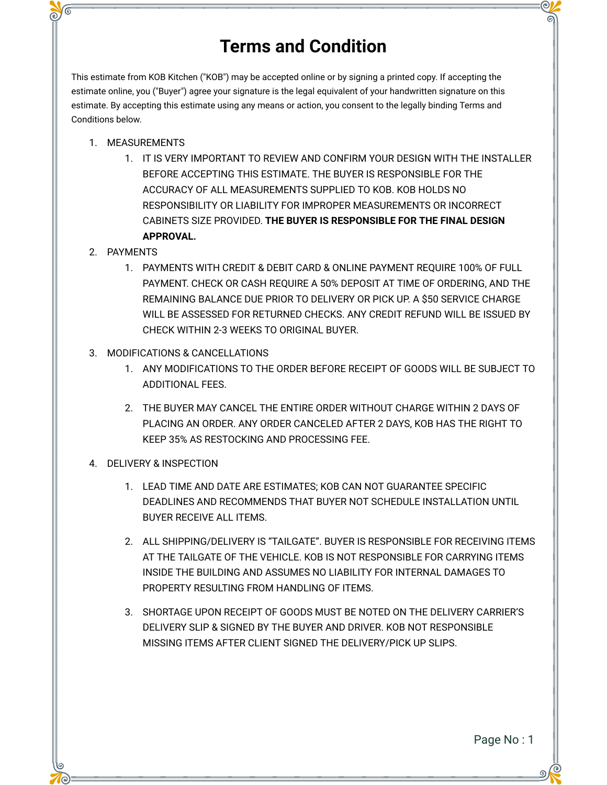## **Terms and Condition**

This estimate from KOB Kitchen ("KOB") may be accepted online or by signing a printed copy. If accepting the estimate online, you ("Buyer") agree your signature is the legal equivalent of your handwritten signature on this estimate. By accepting this estimate using any means or action, you consent to the legally binding Terms and Conditions below.

- 1. MEASUREMENTS
	- 1. IT IS VERY IMPORTANT TO REVIEW AND CONFIRM YOUR DESIGN WITH THE INSTALLER BEFORE ACCEPTING THIS ESTIMATE. THE BUYER IS RESPONSIBLE FOR THE ACCURACY OF ALL MEASUREMENTS SUPPLIED TO KOB. KOB HOLDS NO RESPONSIBILITY OR LIABILITY FOR IMPROPER MEASUREMENTS OR INCORRECT CABINETS SIZE PROVIDED. **THE BUYER IS RESPONSIBLE FOR THE FINAL DESIGN APPROVAL.**
- 2. PAYMENTS
	- 1. PAYMENTS WITH CREDIT & DEBIT CARD & ONLINE PAYMENT REQUIRE 100% OF FULL PAYMENT. CHECK OR CASH REQUIRE A 50% DEPOSIT AT TIME OF ORDERING, AND THE REMAINING BALANCE DUE PRIOR TO DELIVERY OR PICK UP. A \$50 SERVICE CHARGE WILL BE ASSESSED FOR RETURNED CHECKS. ANY CREDIT REFUND WILL BE ISSUED BY CHECK WITHIN 2-3 WEEKS TO ORIGINAL BUYER.
- 3. MODIFICATIONS & CANCELLATIONS
	- 1. ANY MODIFICATIONS TO THE ORDER BEFORE RECEIPT OF GOODS WILL BE SUBJECT TO ADDITIONAL FEES.
	- 2. THE BUYER MAY CANCEL THE ENTIRE ORDER WITHOUT CHARGE WITHIN 2 DAYS OF PLACING AN ORDER. ANY ORDER CANCELED AFTER 2 DAYS, KOB HAS THE RIGHT TO KEEP 35% AS RESTOCKING AND PROCESSING FEE.
- 4. DELIVERY & INSPECTION
	- 1. LEAD TIME AND DATE ARE ESTIMATES; KOB CAN NOT GUARANTEE SPECIFIC DEADLINES AND RECOMMENDS THAT BUYER NOT SCHEDULE INSTALLATION UNTIL BUYER RECEIVE ALL ITEMS.
	- 2. ALL SHIPPING/DELIVERY IS "TAILGATE". BUYER IS RESPONSIBLE FOR RECEIVING ITEMS AT THE TAILGATE OF THE VEHICLE. KOB IS NOT RESPONSIBLE FOR CARRYING ITEMS INSIDE THE BUILDING AND ASSUMES NO LIABILITY FOR INTERNAL DAMAGES TO PROPERTY RESULTING FROM HANDLING OF ITEMS.
	- 3. SHORTAGE UPON RECEIPT OF GOODS MUST BE NOTED ON THE DELIVERY CARRIER'S DELIVERY SLIP & SIGNED BY THE BUYER AND DRIVER. KOB NOT RESPONSIBLE MISSING ITEMS AFTER CLIENT SIGNED THE DELIVERY/PICK UP SLIPS.

Page No : 1